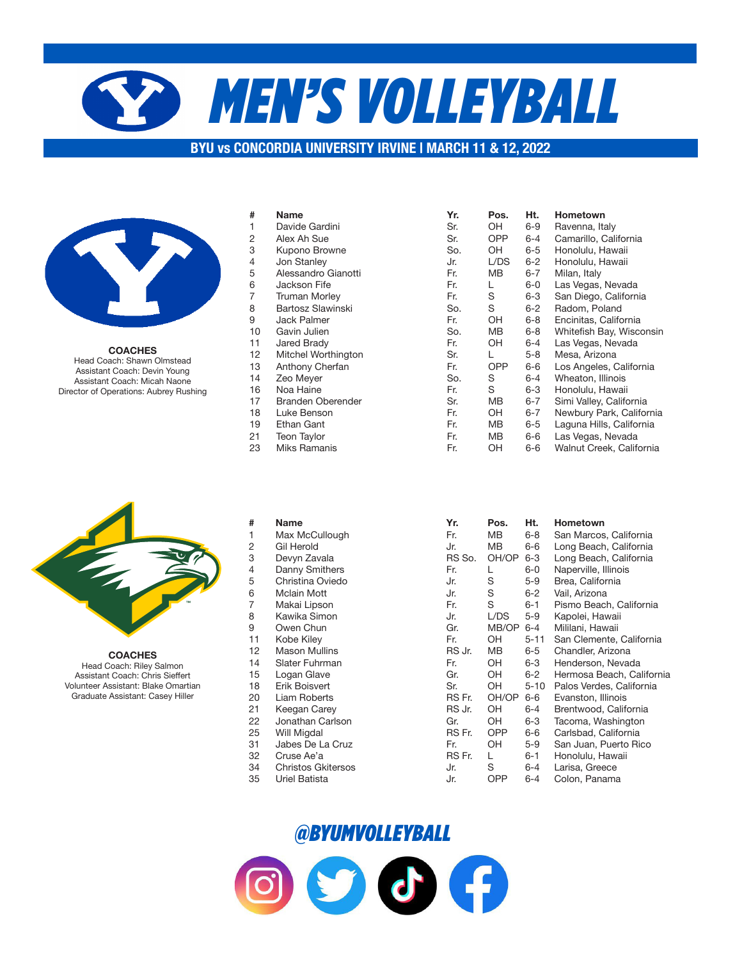# *MEN'S VOLLEYBALL*

## **BYU vs CONCORDIA UNIVERSITY IRVINE | MARCH 11 & 12, 2022**



**COACHES** Head Coach: Shawn Olmstead Assistant Coach: Devin Young Assistant Coach: Micah Naone Director of Operations: Aubrey Rushing



#### **COACHES**

Head Coach: Riley Salmon Assistant Coach: Chris Sieffert Volunteer Assistant: Blake Omartian Graduate Assistant: Casey Hiller

| #  | Name                | Yr. | Pos.       | Ht.     | <b>Hometown</b>          |
|----|---------------------|-----|------------|---------|--------------------------|
| 1  | Davide Gardini      | Sr. | OH         | $6 - 9$ | Ravenna, Italy           |
| 2  | Alex Ah Sue         | Sr. | <b>OPP</b> | 6-4     | Camarillo, California    |
| 3  | Kupono Browne       | So. | OH         | $6-5$   | Honolulu, Hawaii         |
| 4  | Jon Stanley         | Jr. | L/DS       | $6 - 2$ | Honolulu, Hawaii         |
| 5  | Alessandro Gianotti | Fr. | <b>MB</b>  | $6 - 7$ | Milan, Italy             |
| 6  | Jackson Fife        | Fr. | L          | $6-0$   | Las Vegas, Nevada        |
| 7  | Truman Morley       | Fr. | S          | $6 - 3$ | San Diego, California    |
| 8  | Bartosz Slawinski   | So. | S          | $6 - 2$ | Radom, Poland            |
| 9  | Jack Palmer         | Fr. | OH         | 6-8     | Encinitas, California    |
| 10 | Gavin Julien        | So. | <b>MB</b>  | $6 - 8$ | Whitefish Bay, Wisconsin |
| 11 | Jared Brady         | Fr. | OH         | $6 - 4$ | Las Vegas, Nevada        |
| 12 | Mitchel Worthington | Sr. | L          | $5 - 8$ | Mesa, Arizona            |
| 13 | Anthony Cherfan     | Fr. | <b>OPP</b> | 6-6     | Los Angeles, California  |
| 14 | Zeo Meyer           | So. | S          | 6-4     | Wheaton, Illinois        |
| 16 | Noa Haine           | Fr. | S          | $6 - 3$ | Honolulu, Hawaii         |
| 17 | Branden Oberender   | Sr. | <b>MB</b>  | $6 - 7$ | Simi Valley, California  |
| 18 | Luke Benson         | Fr. | OH         | 6-7     | Newbury Park, California |
| 19 | Ethan Gant          | Fr. | MВ         | $6 - 5$ | Laguna Hills, California |
| 21 | <b>Teon Taylor</b>  | Fr. | <b>MB</b>  | $6-6$   | Las Vegas, Nevada        |
|    |                     |     |            |         |                          |

| 1  | Davide Gardini           | Sr. | OH         | 6-9     | Ravenna, Italy           |
|----|--------------------------|-----|------------|---------|--------------------------|
| 2  | Alex Ah Sue              | Sr. | <b>OPP</b> | 6-4     | Camarillo, California    |
| 3  | Kupono Browne            | So. | OH         | 6-5     | Honolulu, Hawaii         |
| 4  | Jon Stanley              | Jr. | L/DS       | $6-2$   | Honolulu, Hawaii         |
| 5  | Alessandro Gianotti      | Fr. | MВ         | 6-7     | Milan, Italy             |
| 6  | Jackson Fife             | Fr. | L          | $6-0$   | Las Vegas, Nevada        |
| 7  | Truman Morley            | Fr. | S          | 6-3     | San Diego, California    |
| 8  | Bartosz Slawinski        | So. | S          | $6 - 2$ | Radom, Poland            |
| 9  | Jack Palmer              | Fr. | OH         | 6-8     | Encinitas, California    |
| 10 | Gavin Julien             | So. | MВ         | 6-8     | Whitefish Bay, Wisconsin |
| 11 | Jared Brady              | Fr. | OH         | 6-4     | Las Vegas, Nevada        |
| 12 | Mitchel Worthington      | Sr. | L          | $5 - 8$ | Mesa, Arizona            |
| 13 | Anthony Cherfan          | Fr. | <b>OPP</b> | 6-6     | Los Angeles, California  |
| 14 | Zeo Meyer                | So. | S          | 6-4     | Wheaton, Illinois        |
| 16 | Noa Haine                | Fr. | S          | 6-3     | Honolulu, Hawaii         |
| 17 | <b>Branden Oberender</b> | Sr. | MВ         | $6 - 7$ | Simi Valley, California  |
| 18 | Luke Benson              | Fr. | OH         | 6-7     | Newbury Park, California |
| 19 | Ethan Gant               | Fr. | MВ         | 6-5     | Laguna Hills, California |
| 21 | <b>Teon Taylor</b>       | Fr. | MВ         | 6-6     | Las Vegas, Nevada        |
| 23 | Miks Ramanis             | Fr. | OН         | 6-6     | Walnut Creek, California |

| #  | <b>Name</b>               | Yr.    | Pos.       | Ht.      | Hometown                  |
|----|---------------------------|--------|------------|----------|---------------------------|
| 1  | Max McCullough            | Fr.    | MВ         | $6 - 8$  | San Marcos, California    |
| 2  | Gil Herold                | Jr.    | MВ         | 6-6      | Long Beach, California    |
| 3  | Devyn Zavala              | RS So. | OH/OP      | 6-3      | Long Beach, California    |
| 4  | Danny Smithers            | Fr.    |            | $6-0$    | Naperville, Illinois      |
| 5  | Christina Oviedo          | Jr.    | S          | $5-9$    | Brea, California          |
| 6  | Mclain Mott               | Jr.    | S          | $6 - 2$  | Vail, Arizona             |
| 7  | Makai Lipson              | Fr.    | S          | 6-1      | Pismo Beach, California   |
| 8  | Kawika Simon              | Jr.    | L/DS       | 5-9      | Kapolei, Hawaii           |
| 9  | Owen Chun                 | Gr.    | MB/OP      | $6 - 4$  | Mililani, Hawaii          |
| 11 | Kobe Kiley                | Fr.    | OH         | $5 - 11$ | San Clemente, California  |
| 12 | <b>Mason Mullins</b>      | RS Jr. | MВ         | $6-5$    | Chandler, Arizona         |
| 14 | Slater Fuhrman            | Fr.    | OH         | 6-3      | Henderson, Nevada         |
| 15 | Logan Glave               | Gr.    | OH         | 6-2      | Hermosa Beach, California |
| 18 | Erik Boisvert             | Sr.    | OH         | $5 - 10$ | Palos Verdes, California  |
| 20 | Liam Roberts              | RS Fr. | OH/OP      | $6-6$    | Evanston, Illinois        |
| 21 | Keegan Carey              | RS Jr. | <b>OH</b>  | 6-4      | Brentwood, California     |
| 22 | Jonathan Carlson          | Gr.    | OH         | 6-3      | Tacoma, Washington        |
| 25 | Will Migdal               | RS Fr. | <b>OPP</b> | 6-6      | Carlsbad, California      |
| 31 | Jabes De La Cruz          | Fr.    | OH         | 5-9      | San Juan, Puerto Rico     |
| 32 | Cruse Ae'a                | RS Fr. | L          | 6-1      | Honolulu, Hawaii          |
| 34 | <b>Christos Gkitersos</b> | Jr.    | S          | 6-4      | Larisa, Greece            |
| 35 | Uriel Batista             | Jr.    | <b>OPP</b> | $6 - 4$  | Colon, Panama             |
|    |                           |        |            |          |                           |